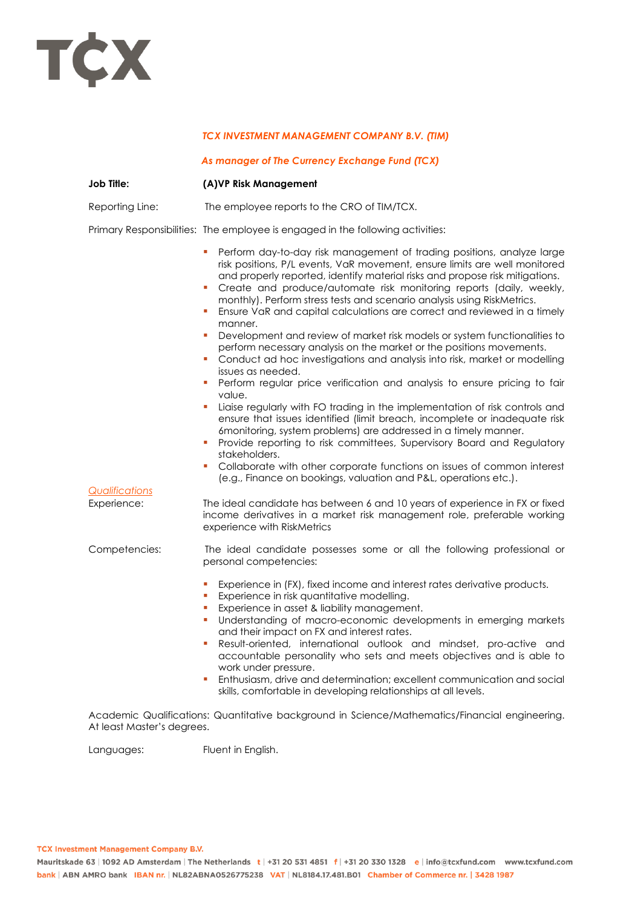

## *TCX INVESTMENT MANAGEMENT COMPANY B.V. (TIM)*

## *As manager of The Currency Exchange Fund (TCX)*

| <b>Job Title:</b>                    | (A)VP Risk Management                                                                                                                                                                                                                                                                                                                                                                                                                                                                                                                                                                                                                     |
|--------------------------------------|-------------------------------------------------------------------------------------------------------------------------------------------------------------------------------------------------------------------------------------------------------------------------------------------------------------------------------------------------------------------------------------------------------------------------------------------------------------------------------------------------------------------------------------------------------------------------------------------------------------------------------------------|
| Reporting Line:                      | The employee reports to the CRO of TIM/TCX.                                                                                                                                                                                                                                                                                                                                                                                                                                                                                                                                                                                               |
|                                      | Primary Responsibilities: The employee is engaged in the following activities:                                                                                                                                                                                                                                                                                                                                                                                                                                                                                                                                                            |
|                                      | Perform day-to-day risk management of trading positions, analyze large<br>ш<br>risk positions, P/L events, VaR movement, ensure limits are well monitored<br>and properly reported, identify material risks and propose risk mitigations.<br>Create and produce/automate risk monitoring reports (daily, weekly,<br>I.<br>monthly). Perform stress tests and scenario analysis using RiskMetrics.<br>Ensure VaR and capital calculations are correct and reviewed in a timely<br>u,<br>manner.                                                                                                                                            |
|                                      | Development and review of market risk models or system functionalities to<br>ш<br>perform necessary analysis on the market or the positions movements.<br>Conduct ad hoc investigations and analysis into risk, market or modelling<br>ш<br>issues as needed.                                                                                                                                                                                                                                                                                                                                                                             |
|                                      | Perform regular price verification and analysis to ensure pricing to fair<br>ш<br>value.                                                                                                                                                                                                                                                                                                                                                                                                                                                                                                                                                  |
|                                      | Liaise regularly with FO trading in the implementation of risk controls and<br>ш<br>ensure that issues identified (limit breach, incomplete or inadequate risk<br>6monitoring, system problems) are addressed in a timely manner.<br>Provide reporting to risk committees, Supervisory Board and Regulatory<br>u,<br>stakeholders.                                                                                                                                                                                                                                                                                                        |
|                                      | Collaborate with other corporate functions on issues of common interest<br>ш<br>(e.g., Finance on bookings, valuation and P&L, operations etc.).                                                                                                                                                                                                                                                                                                                                                                                                                                                                                          |
| <b>Qualifications</b><br>Experience: | The ideal candidate has between 6 and 10 years of experience in FX or fixed<br>income derivatives in a market risk management role, preferable working<br>experience with RiskMetrics                                                                                                                                                                                                                                                                                                                                                                                                                                                     |
| Competencies:                        | The ideal candidate possesses some or all the following professional or<br>personal competencies:                                                                                                                                                                                                                                                                                                                                                                                                                                                                                                                                         |
|                                      | I.<br>Experience in (FX), fixed income and interest rates derivative products.<br>Experience in risk quantitative modelling.<br>ш<br>Experience in asset & liability management.<br>ш<br>Understanding of macro-economic developments in emerging markets<br>ш<br>and their impact on FX and interest rates.<br>Result-oriented, international outlook and mindset, pro-active and<br>ш<br>accountable personality who sets and meets objectives and is able to<br>work under pressure.<br>Enthusiasm, drive and determination; excellent communication and social<br>ш<br>skills, comfortable in developing relationships at all levels. |

Academic Qualifications: Quantitative background in Science/Mathematics/Financial engineering. At least Master's degrees.

Languages: Fluent in English.

**TCX Investment Management Company B.V.**